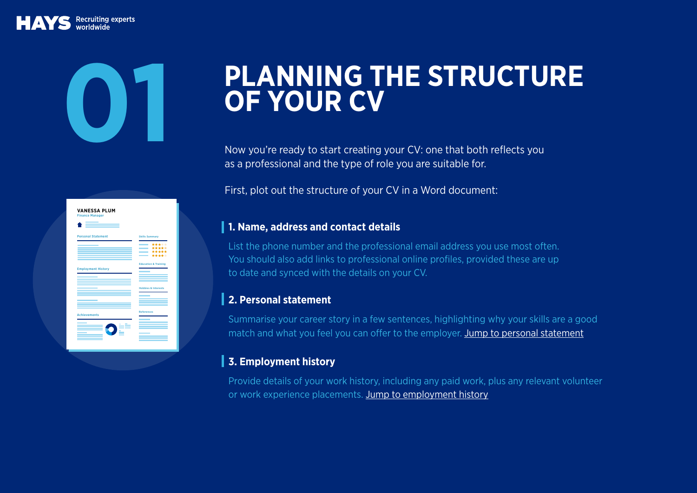# **PLANNING THE STRUCTURE**

Now you're ready to start creating your CV: one that both reflects you as a professional and the type of role you are suitable for.

First, plot out the structure of your CV in a Word document:

#### **1. Name, address and contact details**

List the phone number and the professional email address you use most often. You should also add links to professional online profiles, provided these are up to date and synced with the details on your CV.

#### **2. Personal statement**

Summarise your career story in a few sentences, highlighting why your skills are a good match and what you feel you can offer to the employer. Jump to personal statement

## **3. Employment history**

Provide details of your work history, including any paid work, plus any relevant volunteer or work experience placements. Jump to employment history